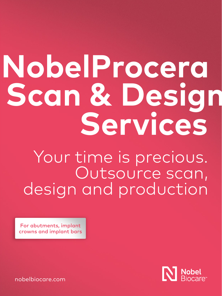# **NobelProcera Scan & Design Services**

Your time is precious. Outsource scan, design and production

For abutments, implant crowns and implant bars



[nobelbiocare.com](http://)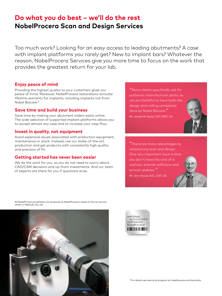# **Do what you do best – we'll do the rest NobelProcera Scan and Design Services**

Too much work? Looking for an easy access to leading abutments? A case with implant platforms you rarely get? New to implant bars? Whatever the reason, NobelProcera Services give you more time to focus on the work that provides the greatest return for your lab.

# **Enjoy peace of mind**

Providing the highest quality to your customers gives you peace of mind. Moreover, NobelProcera restorations activate lifetime warranty for implants, including implants not from Nobel Biocare.\*

# **Save time and build your business**

Save time by making your abutment orders easily online. The wide selection of supported implant platforms allows you to accept almost any case and to increase your case flow.

# **Invest in quality, not equipment**

Avoid expensive issues associated with production equipment, maintenance or stock. Instead, use our state-of-the-art production and get products with consistently high quality and precision of fit.

# **Getting started has never been easier**

We do the work for you, so you do not need to worry about CAD/CAM decisions and up-front investments. And our team of experts are there for you if questions arise.

"Many clients specifically ask for authentic manufacturer parts, so we are thankful to have both the design and milling completely done by Nobel Biocare." Mr Joseph M. Apap, CDT, MDT, US



"There are many advantages to outsourcing scan and design. One very important issue is that you don't have the cost of a scanner, scanner software and annual updates."

Mr Jerry Kaizer, B.S., CDT, US

All NobelProcera prosthetics are produced at NobelProcera's state-of-the art service center in Mahwah, NJ, US.



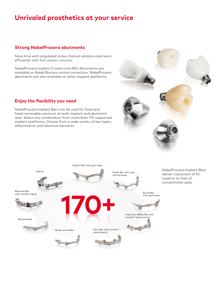# **Unrivaled prosthetics at your service**

# **Strong NobelProcera abutments**

Save time with angulated screw channel solutions and work efficiently with full-contour zirconia.

NobelProcera Implant Crowns and ASC Abutments are available on Nobel Biocare conical connection. NobelProcera abutments are also available on other implant platforms.

# **Enjoy the flexibility you need**

NobelProcera Implant Bars can be used for fixed and fixed-removable solutions at both implant and abutment level. Select any combination from more than 170 supported implant platforms. Choose from a wide variety of bar types, attachments and retentive elements.